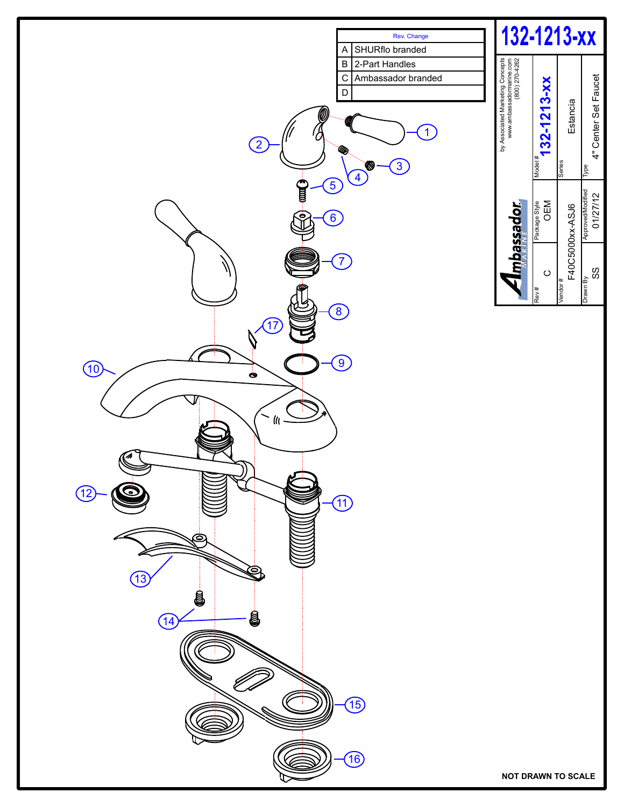